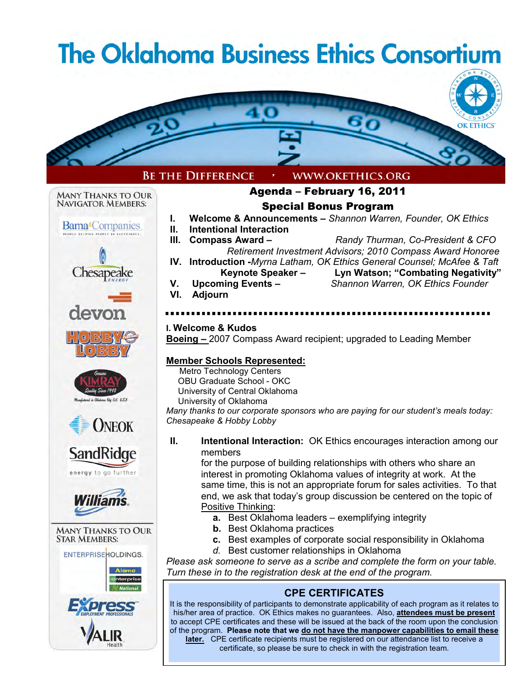### **The Oklahoma Business Ethics Consortium BE THE DIFFERENCE WWW.OKETHICS.ORG** Agenda – February 16, 2011 **MANY THANKS TO OUR NAVIGATOR MEMBERS:** Special Bonus Program **I. Welcome & Announcements –** *Shannon Warren, Founder, OK Ethics* **Bama** Companies **II. Intentional Interaction III. Compass Award –** *Randy Thurman, Co-President & CFO* *Retirement Investment Advisors; 2010 Compass Award Honoree*  **IV. Introduction -***Myrna Latham, OK Ethics General Counsel; McAfee & Taft* Chesapeake **Keynote Speaker – Lyn Watson; "Combating Negativity" V. Upcoming Events –** *Shannon Warren, OK Ethics Founder* **VI. Adjourn**  devon **I. Welcome & Kudos Boeing –** 2007 Compass Award recipient; upgraded to Leading Member **Member Schools Represented:** Metro Technology Centers OBU Graduate School - OKC University of Central Oklahoma University of Oklahoma *Many thanks to our corporate sponsors who are paying for our student's meals today:*  **ONEOK** *Chesapeake & Hobby Lobby*  **II. Intentional Interaction: OK Ethics encourages interaction among our SandRidge** members for the purpose of building relationships with others who share an energy to go further interest in promoting Oklahoma values of integrity at work. At the same time, this is not an appropriate forum for sales activities. To that end, we ask that today's group discussion be centered on the topic of illiams. Positive Thinking: **a.** Best Oklahoma leaders – exemplifying integrity **b.** Best Oklahoma practices **MANY THANKS TO OUR STAR MEMBERS: c.** Best examples of corporate social responsibility in Oklahoma *d.* Best customer relationships in Oklahoma ENTERPRISE HOLDINGS. *Please ask someone to serve as a scribe and complete the form on your table. Turn these in to the registration desk at the end of the program.* **CPE CERTIFICATES**  It is the responsibility of participants to demonstrate applicability of each program as it relates to his/her area of practice. OK Ethics makes no guarantees. Also, **attendees must be present**  to accept CPE certificates and these will be issued at the back of the room upon the conclusion of the program. **Please note that we do not have the manpower capabilities to email these later.** CPE certificate recipients must be registered on our attendance list to receive a

certificate, so please be sure to check in with the registration team.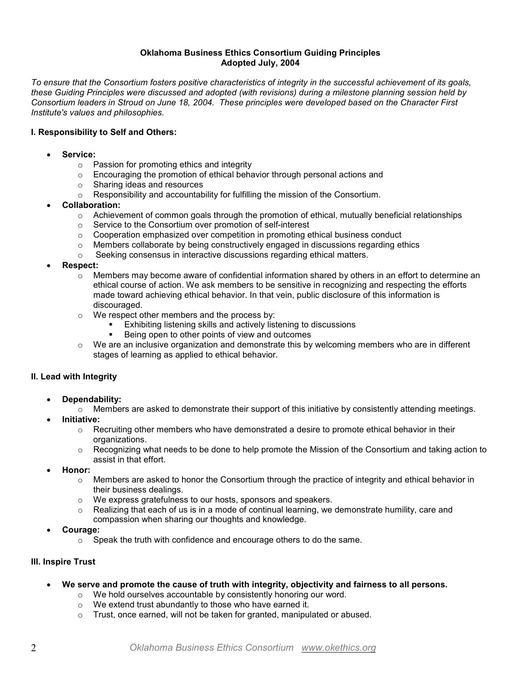### **Oklahoma Business Ethics Consortium Guiding Principles Adopted July, 2004**

*To ensure that the Consortium fosters positive characteristics of integrity in the successful achievement of its goals, these Guiding Principles were discussed and adopted (with revisions) during a milestone planning session held by Consortium leaders in Stroud on June 18, 2004. These principles were developed based on the Character First Institute's values and philosophies.* 

### **I. Responsibility to Self and Others:**

- **Service:**
	- o Passion for promoting ethics and integrity
	- $\circ$  Encouraging the promotion of ethical behavior through personal actions and
	- o Sharing ideas and resources
	- o Responsibility and accountability for fulfilling the mission of the Consortium.
- **Collaboration:**
	- $\circ$  Achievement of common goals through the promotion of ethical, mutually beneficial relationships
	- o Service to the Consortium over promotion of self-interest
	- $\circ$  Cooperation emphasized over competition in promoting ethical business conduct
	- $\circ$  Members collaborate by being constructively engaged in discussions regarding ethics
	- o Seeking consensus in interactive discussions regarding ethical matters.
- **Respect:**
	- $\circ$  Members may become aware of confidential information shared by others in an effort to determine an ethical course of action. We ask members to be sensitive in recognizing and respecting the efforts made toward achieving ethical behavior. In that vein, public disclosure of this information is discouraged.
	- o We respect other members and the process by:
		- **Exhibiting listening skills and actively listening to discussions**<br>**E** Being open to other points of view and outcomes
		- Being open to other points of view and outcomes
	- $\circ$  We are an inclusive organization and demonstrate this by welcoming members who are in different stages of learning as applied to ethical behavior.

### **II. Lead with Integrity**

- **Dependability:**
	- $\circ$  Members are asked to demonstrate their support of this initiative by consistently attending meetings.
- **Initiative:**
	- $\circ$  Recruiting other members who have demonstrated a desire to promote ethical behavior in their organizations.
	- $\circ$  Recognizing what needs to be done to help promote the Mission of the Consortium and taking action to assist in that effort.
- **Honor:**
	- $\circ$  Members are asked to honor the Consortium through the practice of integrity and ethical behavior in their business dealings.
	- o We express gratefulness to our hosts, sponsors and speakers.
	- o Realizing that each of us is in a mode of continual learning, we demonstrate humility, care and compassion when sharing our thoughts and knowledge.
- **Courage:**
	- $\circ$  Speak the truth with confidence and encourage others to do the same.

### **III. Inspire Trust**

- **We serve and promote the cause of truth with integrity, objectivity and fairness to all persons.**
	- o We hold ourselves accountable by consistently honoring our word.
	- o We extend trust abundantly to those who have earned it.
	- o Trust, once earned, will not be taken for granted, manipulated or abused.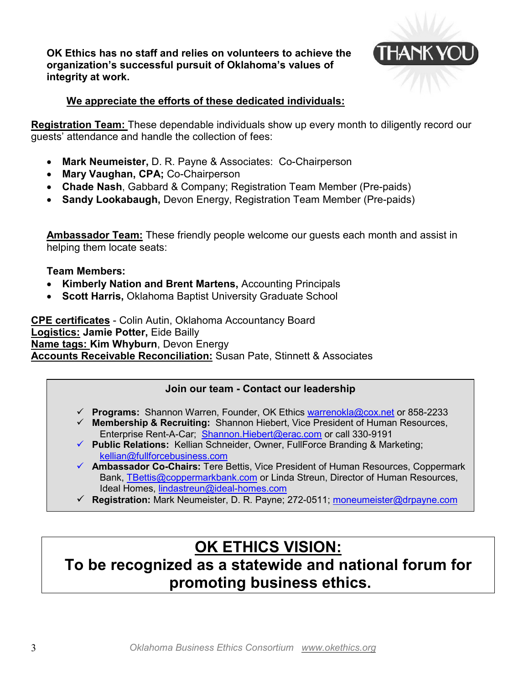**OK Ethics has no staff and relies on volunteers to achieve the organization's successful pursuit of Oklahoma's values of integrity at work.** 



### **We appreciate the efforts of these dedicated individuals:**

**Registration Team:** These dependable individuals show up every month to diligently record our guests' attendance and handle the collection of fees:

- **Mark Neumeister,** D. R. Payne & Associates: Co-Chairperson
- **Mary Vaughan, CPA;** Co-Chairperson
- **Chade Nash**, Gabbard & Company; Registration Team Member (Pre-paids)
- **Sandy Lookabaugh,** Devon Energy, Registration Team Member (Pre-paids)

**Ambassador Team:** These friendly people welcome our guests each month and assist in helping them locate seats:

### **Team Members:**

- **Kimberly Nation and Brent Martens,** Accounting Principals
- **Scott Harris, Oklahoma Baptist University Graduate School**

**CPE certificates** - Colin Autin, Oklahoma Accountancy Board **Logistics: Jamie Potter,** Eide Bailly **Name tags: Kim Whyburn**, Devon Energy **Accounts Receivable Reconciliation:** Susan Pate, Stinnett & Associates

### **Join our team - Contact our leadership**

- **Programs:** Shannon Warren, Founder, OK Ethics warrenokla@cox.net or 858-2233
- **Membership & Recruiting:** Shannon Hiebert, Vice President of Human Resources, Enterprise Rent-A-Car; Shannon.Hiebert@erac.com or call 330-9191
- **Public Relations:** Kellian Schneider, Owner, FullForce Branding & Marketing; kellian@fullforcebusiness.com
- **Ambassador Co-Chairs:** Tere Bettis, Vice President of Human Resources, Coppermark Bank, TBettis@coppermarkbank.com or Linda Streun, Director of Human Resources, Ideal Homes, lindastreun@ideal-homes.com
- **Registration:** Mark Neumeister, D. R. Payne; 272-0511; moneumeister@drpayne.com

## **OK ETHICS VISION:**

## **To be recognized as a statewide and national forum for promoting business ethics.**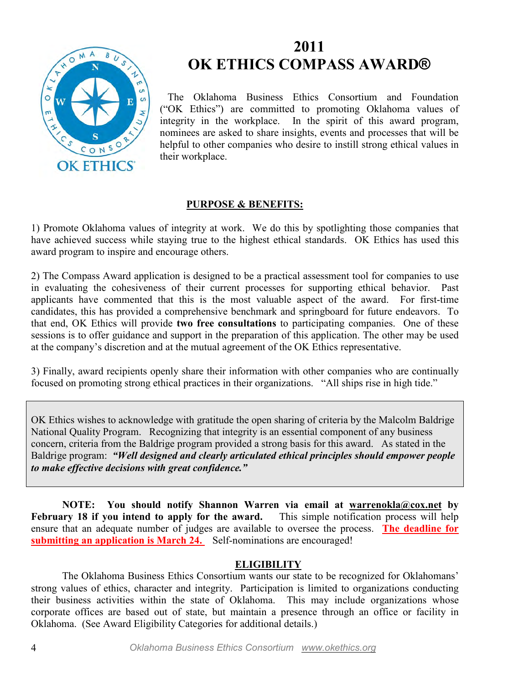

## **2011 OK ETHICS COMPASS AWARD®**

The Oklahoma Business Ethics Consortium and Foundation ("OK Ethics") are committed to promoting Oklahoma values of integrity in the workplace. In the spirit of this award program, nominees are asked to share insights, events and processes that will be helpful to other companies who desire to instill strong ethical values in their workplace.

### **PURPOSE & BENEFITS:**

1) Promote Oklahoma values of integrity at work. We do this by spotlighting those companies that have achieved success while staying true to the highest ethical standards. OK Ethics has used this award program to inspire and encourage others.

2) The Compass Award application is designed to be a practical assessment tool for companies to use in evaluating the cohesiveness of their current processes for supporting ethical behavior. Past applicants have commented that this is the most valuable aspect of the award. For first-time candidates, this has provided a comprehensive benchmark and springboard for future endeavors. To that end, OK Ethics will provide **two free consultations** to participating companies. One of these sessions is to offer guidance and support in the preparation of this application. The other may be used at the company's discretion and at the mutual agreement of the OK Ethics representative.

3) Finally, award recipients openly share their information with other companies who are continually focused on promoting strong ethical practices in their organizations. "All ships rise in high tide."

OK Ethics wishes to acknowledge with gratitude the open sharing of criteria by the Malcolm Baldrige National Quality Program. Recognizing that integrity is an essential component of any business concern, criteria from the Baldrige program provided a strong basis for this award. As stated in the Baldrige program: *"Well designed and clearly articulated ethical principles should empower people to make effective decisions with great confidence."* 

**NOTE: You should notify Shannon Warren via email at warrenokla@cox.net by February 18 if you intend to apply for the award.** This simple notification process will help ensure that an adequate number of judges are available to oversee the process. **The deadline for submitting an application is March 24.** Self-nominations are encouraged!

### **ELIGIBILITY**

The Oklahoma Business Ethics Consortium wants our state to be recognized for Oklahomans' strong values of ethics, character and integrity. Participation is limited to organizations conducting their business activities within the state of Oklahoma. This may include organizations whose corporate offices are based out of state, but maintain a presence through an office or facility in Oklahoma. (See Award Eligibility Categories for additional details.)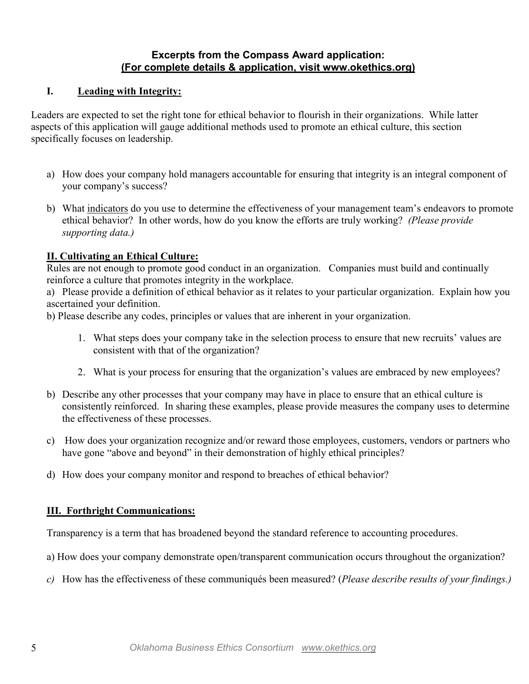### **Excerpts from the Compass Award application: (For complete details & application, visit www.okethics.org)**

### **I. Leading with Integrity:**

Leaders are expected to set the right tone for ethical behavior to flourish in their organizations. While latter aspects of this application will gauge additional methods used to promote an ethical culture, this section specifically focuses on leadership.

- a) How does your company hold managers accountable for ensuring that integrity is an integral component of your company's success?
- b) What indicators do you use to determine the effectiveness of your management team's endeavors to promote ethical behavior? In other words, how do you know the efforts are truly working? *(Please provide supporting data.)*

### **II. Cultivating an Ethical Culture:**

Rules are not enough to promote good conduct in an organization. Companies must build and continually reinforce a culture that promotes integrity in the workplace.

a) Please provide a definition of ethical behavior as it relates to your particular organization. Explain how you ascertained your definition.

b) Please describe any codes, principles or values that are inherent in your organization.

- 1. What steps does your company take in the selection process to ensure that new recruits' values are consistent with that of the organization?
- 2. What is your process for ensuring that the organization's values are embraced by new employees?
- b) Describe any other processes that your company may have in place to ensure that an ethical culture is consistently reinforced. In sharing these examples, please provide measures the company uses to determine the effectiveness of these processes.
- c) How does your organization recognize and/or reward those employees, customers, vendors or partners who have gone "above and beyond" in their demonstration of highly ethical principles?
- d) How does your company monitor and respond to breaches of ethical behavior?

### **III. Forthright Communications:**

Transparency is a term that has broadened beyond the standard reference to accounting procedures.

- a) How does your company demonstrate open/transparent communication occurs throughout the organization?
- *c)* How has the effectiveness of these communiqués been measured? (*Please describe results of your findings.)*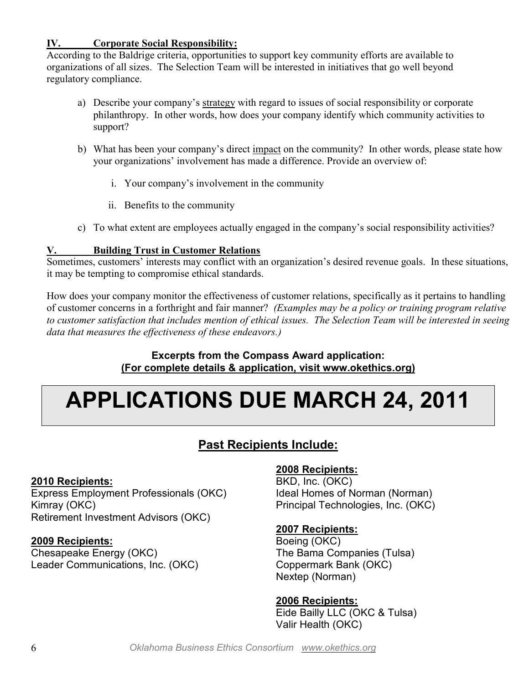### **IV. Corporate Social Responsibility:**

According to the Baldrige criteria, opportunities to support key community efforts are available to organizations of all sizes. The Selection Team will be interested in initiatives that go well beyond regulatory compliance.

- a) Describe your company's strategy with regard to issues of social responsibility or corporate philanthropy. In other words, how does your company identify which community activities to support?
- b) What has been your company's direct impact on the community? In other words, please state how your organizations' involvement has made a difference. Provide an overview of:
	- i. Your company's involvement in the community
	- ii. Benefits to the community
- c) To what extent are employees actually engaged in the company's social responsibility activities?

### **V. Building Trust in Customer Relations**

Sometimes, customers' interests may conflict with an organization's desired revenue goals. In these situations, it may be tempting to compromise ethical standards.

How does your company monitor the effectiveness of customer relations, specifically as it pertains to handling of customer concerns in a forthright and fair manner? *(Examples may be a policy or training program relative to customer satisfaction that includes mention of ethical issues. The Selection Team will be interested in seeing data that measures the effectiveness of these endeavors.)* 

### **Excerpts from the Compass Award application: (For complete details & application, visit www.okethics.org)**

# **APPLICATIONS DUE MARCH 24, 2011**

### **Past Recipients Include:**

### **2010 Recipients:**

Express Employment Professionals (OKC) Kimray (OKC) Retirement Investment Advisors (OKC)

### **2009 Recipients:**

Chesapeake Energy (OKC) Leader Communications, Inc. (OKC)

### **2008 Recipients:**

BKD, Inc. (OKC) Ideal Homes of Norman (Norman) Principal Technologies, Inc. (OKC)

### **2007 Recipients:**

Boeing (OKC) The Bama Companies (Tulsa) Coppermark Bank (OKC) Nextep (Norman)

### **2006 Recipients:**

Eide Bailly LLC (OKC & Tulsa) Valir Health (OKC)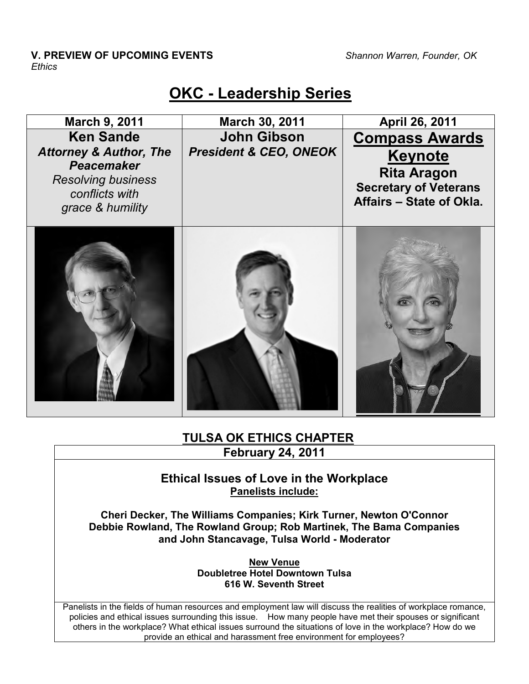### **V. PREVIEW OF UPCOMING EVENTS** *Shannon Warren, Founder, OK*

*Ethics* 

## **OKC - Leadership Series**

| <b>March 9, 2011</b>                                                                                                                          | March 30, 2011                                          | April 26, 2011                                                                                                            |
|-----------------------------------------------------------------------------------------------------------------------------------------------|---------------------------------------------------------|---------------------------------------------------------------------------------------------------------------------------|
| <b>Ken Sande</b><br><b>Attorney &amp; Author, The</b><br><b>Peacemaker</b><br><b>Resolving business</b><br>conflicts with<br>grace & humility | <b>John Gibson</b><br><b>President &amp; CEO, ONEOK</b> | <b>Compass Awards</b><br><b>Keynote</b><br><b>Rita Aragon</b><br><b>Secretary of Veterans</b><br>Affairs - State of Okla. |
|                                                                                                                                               |                                                         |                                                                                                                           |

### **TULSA OK ETHICS CHAPTER February 24, 2011**

### **Ethical Issues of Love in the Workplace Panelists include:**

**Cheri Decker, The Williams Companies; Kirk Turner, Newton O'Connor Debbie Rowland, The Rowland Group; Rob Martinek, The Bama Companies and John Stancavage, Tulsa World - Moderator**

> **New Venue Doubletree Hotel Downtown Tulsa 616 W. Seventh Street**

Panelists in the fields of human resources and employment law will discuss the realities of workplace romance, policies and ethical issues surrounding this issue. How many people have met their spouses or significant others in the workplace? What ethical issues surround the situations of love in the workplace? How do we provide an ethical and harassment free environment for employees?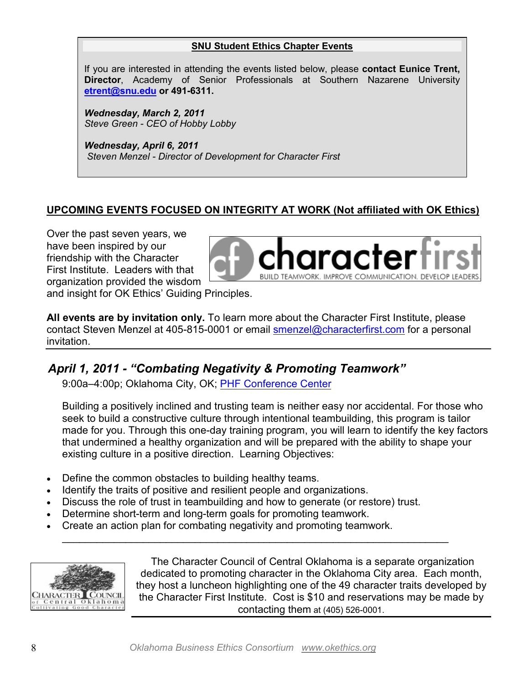### **SNU Student Ethics Chapter Events**

If you are interested in attending the events listed below, please **contact Eunice Trent, Director**, Academy of Senior Professionals at Southern Nazarene University **etrent@snu.edu or 491-6311.** 

*Wednesday, March 2, 2011 Steve Green - CEO of Hobby Lobby* 

*Wednesday, April 6, 2011 Steven Menzel - Director of Development for Character First* 

### **UPCOMING EVENTS FOCUSED ON INTEGRITY AT WORK (Not affiliated with OK Ethics)**

Over the past seven years, we have been inspired by our friendship with the Character First Institute. Leaders with that organization provided the wisdom



and insight for OK Ethics' Guiding Principles.

**All events are by invitation only.** To learn more about the Character First Institute, please contact Steven Menzel at 405-815-0001 or email smenzel@characterfirst.com for a personal invitation.

### *April 1, 2011 - "Combating Negativity & Promoting Teamwork"*

9:00a–4:00p; Oklahoma City, OK; PHF Conference Center

Building a positively inclined and trusting team is neither easy nor accidental. For those who seek to build a constructive culture through intentional teambuilding, this program is tailor made for you. Through this one-day training program, you will learn to identify the key factors that undermined a healthy organization and will be prepared with the ability to shape your existing culture in a positive direction. Learning Objectives:

- Define the common obstacles to building healthy teams.
- Identify the traits of positive and resilient people and organizations.
- Discuss the role of trust in teambuilding and how to generate (or restore) trust.
- Determine short-term and long-term goals for promoting teamwork.
- Create an action plan for combating negativity and promoting teamwork.



 The Character Council of Central Oklahoma is a separate organization dedicated to promoting character in the Oklahoma City area. Each month, they host a luncheon highlighting one of the 49 character traits developed by the Character First Institute. Cost is \$10 and reservations may be made by contacting them at (405) 526-0001.

\_\_\_\_\_\_\_\_\_\_\_\_\_\_\_\_\_\_\_\_\_\_\_\_\_\_\_\_\_\_\_\_\_\_\_\_\_\_\_\_\_\_\_\_\_\_\_\_\_\_\_\_\_\_\_\_\_\_\_\_\_\_\_\_\_\_\_